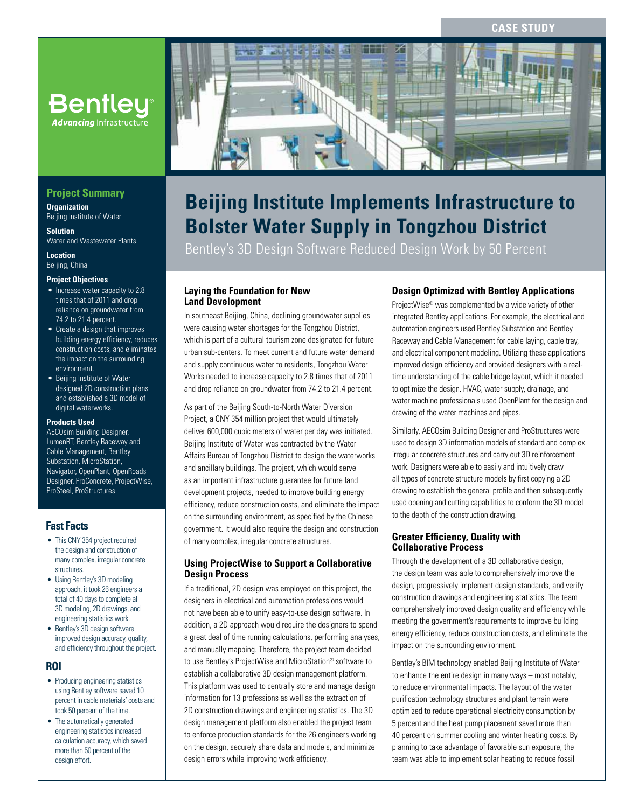## **CASE STUDY**



## **Beijing Institute Implements Infrastructure to Bolster Water Supply in Tongzhou District**

Bentley's 3D Design Software Reduced Design Work by 50 Percent

## **Laying the Foundation for New Land Development**

In southeast Beijing, China, declining groundwater supplies were causing water shortages for the Tongzhou District, which is part of a cultural tourism zone designated for future urban sub-centers. To meet current and future water demand and supply continuous water to residents, Tongzhou Water Works needed to increase capacity to 2.8 times that of 2011 and drop reliance on groundwater from 74.2 to 21.4 percent.

As part of the Beijing South-to-North Water Diversion Project, a CNY 354 million project that would ultimately deliver 600,000 cubic meters of water per day was initiated. Beijing Institute of Water was contracted by the Water Affairs Bureau of Tongzhou District to design the waterworks and ancillary buildings. The project, which would serve as an important infrastructure guarantee for future land development projects, needed to improve building energy efficiency, reduce construction costs, and eliminate the impact on the surrounding environment, as specified by the Chinese government. It would also require the design and construction of many complex, irregular concrete structures.

## **Using ProjectWise to Support a Collaborative Design Process**

If a traditional, 2D design was employed on this project, the designers in electrical and automation professions would not have been able to unify easy-to-use design software. In addition, a 2D approach would require the designers to spend a great deal of time running calculations, performing analyses, and manually mapping. Therefore, the project team decided to use Bentley's ProjectWise and MicroStation® software to establish a collaborative 3D design management platform. This platform was used to centrally store and manage design information for 13 professions as well as the extraction of 2D construction drawings and engineering statistics. The 3D design management platform also enabled the project team to enforce production standards for the 26 engineers working on the design, securely share data and models, and minimize design errors while improving work efficiency.

## **Design Optimized with Bentley Applications**

ProjectWise® was complemented by a wide variety of other integrated Bentley applications. For example, the electrical and automation engineers used Bentley Substation and Bentley Raceway and Cable Management for cable laying, cable tray, and electrical component modeling. Utilizing these applications improved design efficiency and provided designers with a realtime understanding of the cable bridge layout, which it needed to optimize the design. HVAC, water supply, drainage, and water machine professionals used OpenPlant for the design and drawing of the water machines and pipes.

Similarly, AECOsim Building Designer and ProStructures were used to design 3D information models of standard and complex irregular concrete structures and carry out 3D reinforcement work. Designers were able to easily and intuitively draw all types of concrete structure models by first copying a 2D drawing to establish the general profile and then subsequently used opening and cutting capabilities to conform the 3D model to the depth of the construction drawing.

#### **Greater Efficiency, Quality with Collaborative Process**

Through the development of a 3D collaborative design, the design team was able to comprehensively improve the design, progressively implement design standards, and verify construction drawings and engineering statistics. The team comprehensively improved design quality and efficiency while meeting the government's requirements to improve building energy efficiency, reduce construction costs, and eliminate the impact on the surrounding environment.

Bentley's BIM technology enabled Beijing Institute of Water to enhance the entire design in many ways – most notably, to reduce environmental impacts. The layout of the water purification technology structures and plant terrain were optimized to reduce operational electricity consumption by 5 percent and the heat pump placement saved more than 40 percent on summer cooling and winter heating costs. By planning to take advantage of favorable sun exposure, the team was able to implement solar heating to reduce fossil

## **Project Summary**

**Advancing** Infrastructure

**Organization** Beijing Institute of Water

**Solution** Water and Wastewater Plants

**Location** Beijing, China

#### **Project Objectives**

- Increase water capacity to 2.8 times that of 2011 and drop reliance on groundwater from 74.2 to 21.4 percent.
- Create a design that improves building energy efficiency, reduces construction costs, and eliminates the impact on the surrounding environment.
- Beijing Institute of Water designed 2D construction plans and established a 3D model of digital waterworks

#### **Products Used**

AECOsim Building Designer, LumenRT, Bentley Raceway and Cable Management, Bentley Substation, MicroStation, Navigator, OpenPlant, OpenRoads Designer, ProConcrete, ProjectWise, ProSteel, ProStructures

## **Fast Facts**

- This CNY 354 project required the design and construction of many complex, irregular concrete structures.
- Using Bentley's 3D modeling approach, it took 26 engineers a total of 40 days to complete all 3D modeling, 2D drawings, and engineering statistics work.
- Bentley's 3D design software improved design accuracy, quality, and efficiency throughout the project.

## **ROI**

- Producing engineering statistics using Bentley software saved 10 percent in cable materials' costs and took 50 percent of the time.
- The automatically generated engineering statistics increased calculation accuracy, which saved more than 50 percent of the design effort.